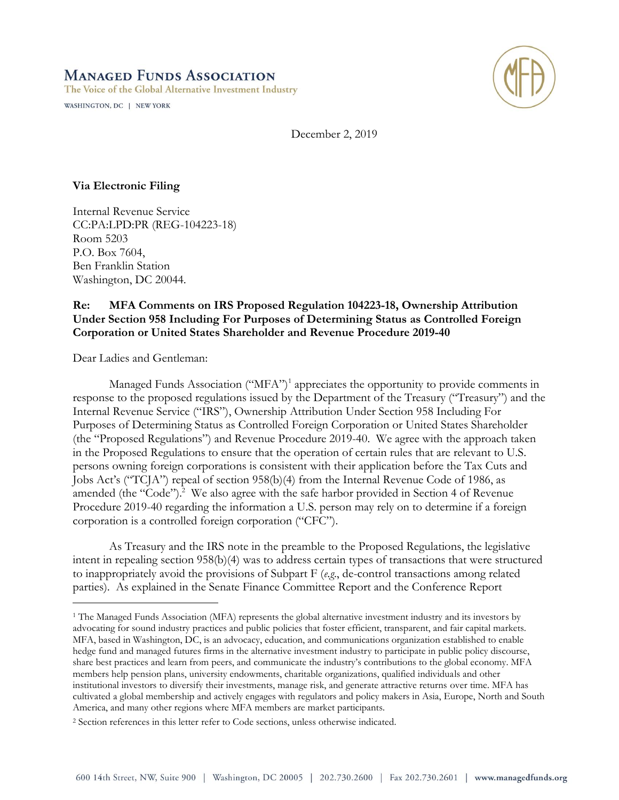## **MANAGED FUNDS ASSOCIATION** The Voice of the Global Alternative Investment Industry

WASHINGTON, DC | NEW YORK



December 2, 2019

## **Via Electronic Filing**

Internal Revenue Service CC:PA:LPD:PR (REG-104223-18) Room 5203 P.O. Box 7604, Ben Franklin Station Washington, DC 20044.

## **Re: MFA Comments on IRS Proposed Regulation 104223-18, Ownership Attribution Under Section 958 Including For Purposes of Determining Status as Controlled Foreign Corporation or United States Shareholder and Revenue Procedure 2019-40**

Dear Ladies and Gentleman:

 $\overline{a}$ 

Managed Funds Association ("MFA")<sup>1</sup> appreciates the opportunity to provide comments in response to the proposed regulations issued by the Department of the Treasury ("Treasury") and the Internal Revenue Service ("IRS"), Ownership Attribution Under Section 958 Including For Purposes of Determining Status as Controlled Foreign Corporation or United States Shareholder (the "Proposed Regulations") and Revenue Procedure 2019-40. We agree with the approach taken in the Proposed Regulations to ensure that the operation of certain rules that are relevant to U.S. persons owning foreign corporations is consistent with their application before the Tax Cuts and Jobs Act's ("TCJA") repeal of section 958(b)(4) from the Internal Revenue Code of 1986, as amended (the "Code").<sup>2</sup> We also agree with the safe harbor provided in Section 4 of Revenue Procedure 2019-40 regarding the information a U.S. person may rely on to determine if a foreign corporation is a controlled foreign corporation ("CFC").

As Treasury and the IRS note in the preamble to the Proposed Regulations, the legislative intent in repealing section 958(b)(4) was to address certain types of transactions that were structured to inappropriately avoid the provisions of Subpart F (*e.g*., de-control transactions among related parties). As explained in the Senate Finance Committee Report and the Conference Report

<sup>&</sup>lt;sup>1</sup> The Managed Funds Association (MFA) represents the global alternative investment industry and its investors by advocating for sound industry practices and public policies that foster efficient, transparent, and fair capital markets. MFA, based in Washington, DC, is an advocacy, education, and communications organization established to enable hedge fund and managed futures firms in the alternative investment industry to participate in public policy discourse, share best practices and learn from peers, and communicate the industry's contributions to the global economy. MFA members help pension plans, university endowments, charitable organizations, qualified individuals and other institutional investors to diversify their investments, manage risk, and generate attractive returns over time. MFA has cultivated a global membership and actively engages with regulators and policy makers in Asia, Europe, North and South America, and many other regions where MFA members are market participants.

<sup>2</sup> Section references in this letter refer to Code sections, unless otherwise indicated.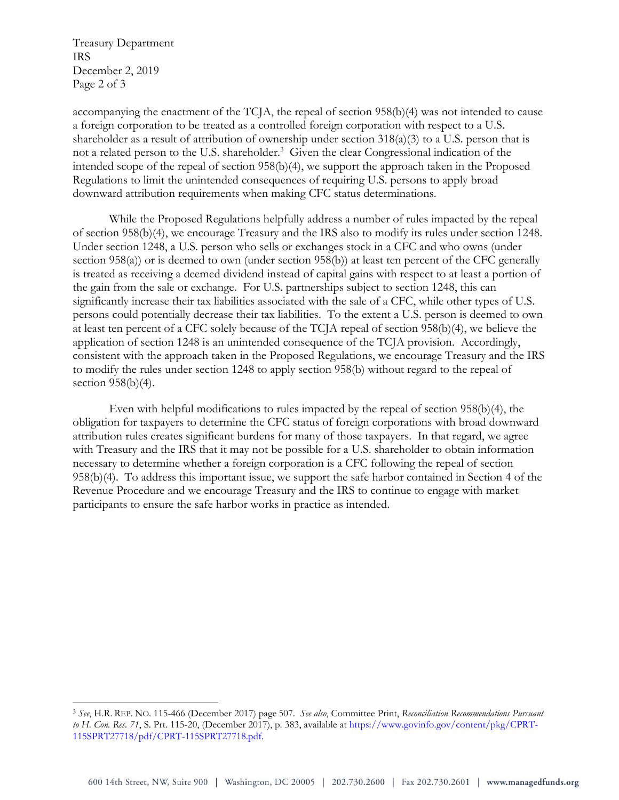Treasury Department IRS December 2, 2019 Page 2 of 3

 $\overline{a}$ 

accompanying the enactment of the TCJA, the repeal of section 958(b)(4) was not intended to cause a foreign corporation to be treated as a controlled foreign corporation with respect to a U.S. shareholder as a result of attribution of ownership under section 318(a)(3) to a U.S. person that is not a related person to the U.S. shareholder.<sup>3</sup> Given the clear Congressional indication of the intended scope of the repeal of section 958(b)(4), we support the approach taken in the Proposed Regulations to limit the unintended consequences of requiring U.S. persons to apply broad downward attribution requirements when making CFC status determinations.

While the Proposed Regulations helpfully address a number of rules impacted by the repeal of section 958(b)(4), we encourage Treasury and the IRS also to modify its rules under section 1248. Under section 1248, a U.S. person who sells or exchanges stock in a CFC and who owns (under section 958(a)) or is deemed to own (under section 958(b)) at least ten percent of the CFC generally is treated as receiving a deemed dividend instead of capital gains with respect to at least a portion of the gain from the sale or exchange. For U.S. partnerships subject to section 1248, this can significantly increase their tax liabilities associated with the sale of a CFC, while other types of U.S. persons could potentially decrease their tax liabilities. To the extent a U.S. person is deemed to own at least ten percent of a CFC solely because of the TCJA repeal of section 958(b)(4), we believe the application of section 1248 is an unintended consequence of the TCJA provision. Accordingly, consistent with the approach taken in the Proposed Regulations, we encourage Treasury and the IRS to modify the rules under section 1248 to apply section 958(b) without regard to the repeal of section 958(b)(4).

Even with helpful modifications to rules impacted by the repeal of section 958(b)(4), the obligation for taxpayers to determine the CFC status of foreign corporations with broad downward attribution rules creates significant burdens for many of those taxpayers. In that regard, we agree with Treasury and the IRS that it may not be possible for a U.S. shareholder to obtain information necessary to determine whether a foreign corporation is a CFC following the repeal of section 958(b)(4). To address this important issue, we support the safe harbor contained in Section 4 of the Revenue Procedure and we encourage Treasury and the IRS to continue to engage with market participants to ensure the safe harbor works in practice as intended.

<sup>3</sup> *See*, H.R. REP. NO. 115-466 (December 2017) page 507. *See also*, Committee Print, *Reconciliation Recommendations Pursuant to H. Con. Res. 71*, S. Prt. 115-20, (December 2017), p. 383, available at https://www.govinfo.gov/content/pkg/CPRT-115SPRT27718/pdf/CPRT-115SPRT27718.pdf.